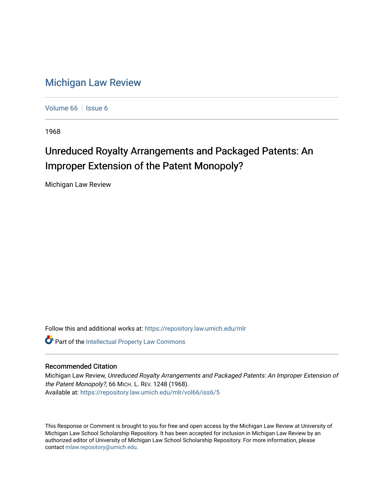# [Michigan Law Review](https://repository.law.umich.edu/mlr)

[Volume 66](https://repository.law.umich.edu/mlr/vol66) | [Issue 6](https://repository.law.umich.edu/mlr/vol66/iss6)

1968

# Unreduced Royalty Arrangements and Packaged Patents: An Improper Extension of the Patent Monopoly?

Michigan Law Review

Follow this and additional works at: [https://repository.law.umich.edu/mlr](https://repository.law.umich.edu/mlr?utm_source=repository.law.umich.edu%2Fmlr%2Fvol66%2Fiss6%2F5&utm_medium=PDF&utm_campaign=PDFCoverPages) 

**C** Part of the Intellectual Property Law Commons

# Recommended Citation

Michigan Law Review, Unreduced Royalty Arrangements and Packaged Patents: An Improper Extension of the Patent Monopoly?, 66 MICH. L. REV. 1248 (1968). Available at: [https://repository.law.umich.edu/mlr/vol66/iss6/5](https://repository.law.umich.edu/mlr/vol66/iss6/5?utm_source=repository.law.umich.edu%2Fmlr%2Fvol66%2Fiss6%2F5&utm_medium=PDF&utm_campaign=PDFCoverPages)

This Response or Comment is brought to you for free and open access by the Michigan Law Review at University of Michigan Law School Scholarship Repository. It has been accepted for inclusion in Michigan Law Review by an authorized editor of University of Michigan Law School Scholarship Repository. For more information, please contact [mlaw.repository@umich.edu](mailto:mlaw.repository@umich.edu).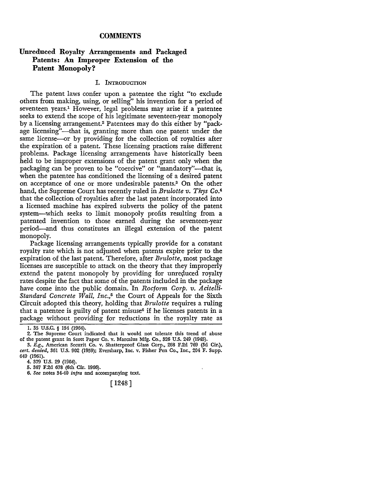# **COMMENTS**

# **Unreduced Royalty Arrangements and Packaged Patents: An Improper Extension of the Patent Monopoly?**

#### I. INTRODUCTION

The patent laws confer upon a patentee the right "to exclude others from making, using, or selling" his invention for a period of seventeen years.<sup>1</sup> However, legal problems may arise if a patentee seeks to extend the scope of his legitimate seventeen-year monopoly by a licensing arrangement.2 Patentees may do this either by "package licensing"—that is, granting more than one patent under the same license-or by providing for the collection of royalties after the expiration of a patent. These licensing practices raise different problems. Package licensing arrangements have historically been held to be improper extensions of the patent grant only when the packaging can be proven to be "coercive" or "mandatory"---that is, when the patentee has conditioned the licensing of a desired patent on acceptance of one or more undesirable patents.3 On the other hand, the Supreme Court has recently ruled in *Brulotte v. Thys Co.4'*  that the collection of royalties after the last patent incorporated into a licensed machine has expired subverts the policy of the patent system-which seeks to limit monopoly profits resulting from a patented invention to those earned during the seventeen-year period-and thus constitutes an illegal extension of the patent monopoly.

Package licensing arrangements typically provide for a constant royalty rate which is not adjusted when patents expire prior to the expiration of the last patent. Therefore, after *Brulotte,* most package licenses are susceptible to attack on the theory that they improperly extend the patent monopoly by providing for unreduced royalty rates despite the fact that some of the patents included in the package have come into the public domain. In *Rocform Corp. v. Acitelli-Standard Concrete Wall, Inc.,*5 the Court of Appeals for the Sixth Circuit adopted this theory, holding that *Brulotte* requires a ruling that a patentee is guilty of patent misuse<sup>6</sup> if he licenses patents in a package without providing for reductions in the royalty rate as

6. *See* notes 34-40 *infra* and accompanying text.

[ 1248]

<sup>1.</sup> 35 u.s.c. § 154 (1964).

<sup>2.</sup> The Supreme Court indicated that it would not tolerate this trend of abuse of the patent grant in Scott Paper Co. v. Marcalus Mfg. Co., 326 U.S. 249 (1945).

<sup>3.</sup> E.g., American Securit Co. v. Shatterproof Glass Corp., 268 F.2d 769 (3d Cir.), *cert. denied,* 361 U.S. 902 (1959); Eversharp, Inc. v. Fisher Pen Co., Inc., 204 F. Supp. 649 (1961).

<sup>4. 379</sup> U.S. 29 (1964).

<sup>5. 367</sup> F.2d 678 (6th Cir. 1966).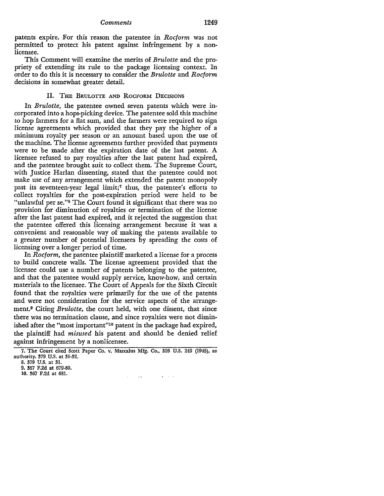*Comments* 1249

patents expire. For this reason the patentee in *Rocform* was not permitted to protect his patent against infringement by a nonlicensee.

This Comment will examine the merits of *Brulotte* and the propriety of extending its rule to the package licensing context. In order to do this it is necessary to consider the *Brulotte* and *Rocform*  decisions in somewhat greater detail.

### II. THE BRULOTTE AND RocFORM DECISIONS

In *Brulotte,* the patentee owned seven patents which were incorporated into a hops-picking device. The patentee sold this machine to hop farmers for a flat sum, and the farmers were required to sign license agreements which provided that they pay the higher of a minimum royalty per season or an amount based upon the use of the machine. The license agreements further provided that payments were to be made after the expiration date of the last patent. A licensee refused to pay royalties after the last patent had expired, and the patentee brought suit to collect them. The Supreme Court, with Justice Harlan dissenting, stated that the patentee could not make use of any arrangement which extended the patent monopoly past its seventeen-year legal limit;7 thus, the patentee's efforts to collect royalties for the post-expiration period were held to be "unlawful per se."8 The Court found it significant that there was no provision for diminution of royalties or termination of the license after the last patent had expired, and it rejected the suggestion that the patentee offered this licensing arrangement because it was a convenient and reasonable way of making the patents available to a greater number of potential licensees by spreading the costs of licensing over a longer period of time.

In *Rocform,* the patentee plaintiff marketed a license for a process *to* build concrete walls. The license agreement provided that the licensee could use a number of patents belonging to the patentee, and that the patentee would supply service, know-how, and certain materials to the licensee. The Court of Appeals for the Sixth Circuit found that the royalties were primarily for the use of the patents and were not consideration for the service aspects of the arrangement.<sup>9</sup> Citing *Brulotte*, the court held, with one dissent, that since there was no termination clause, and since royalties were not diminished after the "most important"10 patent in the package had expired, the plaintiff had *misused* his patent and should be denied relief against infringement by a nonlicensee.

- 9. 367 F.2d at 679-80. 10. 367 F.2d at 681.
- $\sim$

 $\sim 10^{-1}$  km s  $^{-1}$ 

<sup>7.</sup> The Court cited Scott Paper Co. v. Marcalus Mfg. Co., 326 U.S. 249 (1945), as authority. 379 U.S. at 31-32.

<sup>8. 379</sup> U.S. at 31.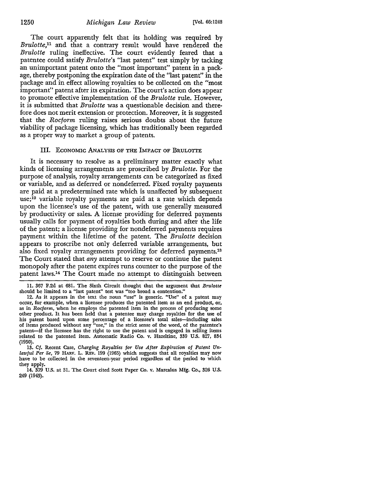The court apparently felt that its holding was required by *Brulotte,11* and that a contrary result would have rendered the *Brulotte* ruling ineffective. The court evidently feared that a patentee could satisfy *Brulotte's* "last patent" test simply by tacking an unimportant patent onto the "most important" patent in a package, thereby postponing the expiration date of the "last patent" in the package and in effect allowing royalties to be collected on the "most important" patent after its expiration. The court's action does appear to promote effective implementation of the *Brulotte* rule. However, it is submitted that *Brulotte* was a questionable decision and therefore does not merit extension or protection. Moreover, it is suggested that the *Rocform* ruling raises serious doubts about the future viability of package licensing, which has traditionally been regarded as a proper way to market a group of patents.

#### III. ECONOMIC ANALYSIS OF THE IMPACT OF BRULOTTE

It is necessary to resolve as a preliminary matter exactly what kinds of licensing arrangements are proscribed by *Brulotte.* For the purpose of analysis, royalty arrangements can be categorized as fixed or variable, and as deferred or nondeferred. Fixed royalty payments are paid at a predetermined rate which is unaffected by subsequent use;12 variable royalty payments are paid at a rate which depends upon the licensee's use of the patent, with use generally measured by productivity or sales. A license providing for deferred payments usually calls for payment of royalties both during and after the life of the patent; a license providing for nondeferred payments requires payment within the lifetime of the patent. The *Brulotte* decision appears to proscribe not only deferred variable arrangements, but also fixed royalty arrangements providing for deferred payments.13 The Court stated that *any* attempt to reserve or continue the patent monopoly after the patent expires runs counter to the purpose of the patent laws.14 The Court made no attempt to distinguish between

11. 367 F.2d at 681. The Sixth Circuit thought that the argument that *Brulotte*  should be limited to a "last patent" test was "too broad a contention."

<sup>12.</sup> As it appears in the text the noun "use" is generic. "Use" of a patent may occur, for example, when a licensee produces the patented item as an end product, or, as in *Rocform,* when he employs the patented item in the process of producing some other product. It has been held that a patentee may charge royalties for the use of his patent based upon some percentage of a licensee's total sales-including sales of items produced without any "use," in the strict sense of the word, of the patentee's patent-if the licensee has the right to use the patent and is engaged in selling items related to the patented item. Automatic Radio Co. v. Hazeltine, 339 U.S. 827, 834 (1950).

<sup>13.</sup> Cf. Recent Case, *Charging Royalties for Use After Expiration of Patent Unlawful Per Se,* 79 HARV. L. REv. 199 (1965) which suggests that all royalties may now have to be collected in the seventeen-year period regardless of the period to which they apply.

<sup>14. 379</sup> U.S. at 31. The Court cited Scott Paper Co. v. Marcalus Mfg. Co., 326 U.S. 249 (1945).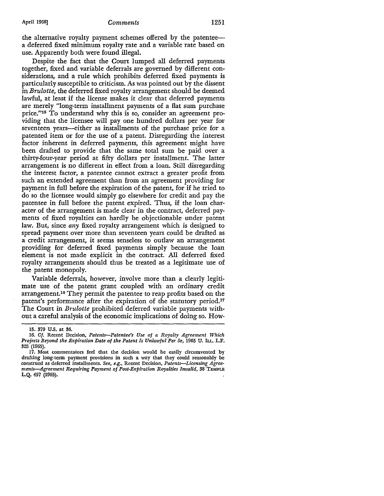the alternative royalty payment schemes offered by the patenteea deferred fixed minimum royalty rate and a variable rate based on use. Apparently both were found illegal.

Despite the fact that the Court lumped all deferred payments together, fixed and variable deferrals are governed by different considerations, and a rule which prohibits deferred fixed payments is particularly susceptible to criticism. As was pointed out by the dissent in *Brulotte,* the deferred fixed royalty arrangement should be deemed lawful, at least if the license makes it clear that deferred payments are merely "long-term installment payments of a flat sum purchase price."15 To understand why this is so, consider an agreement providing that the licensee will pay one hundred dollars per year for seventeen years-either as installments of the purchase price for a patented item or for the use of a patent. Disregarding the interest factor inherent in deferred payments, this agreement might have been drafted to provide that the same total sum be paid over a thirty-four-year period at fifty dollars per installment. The latter arrangement is no different in effect from a loan. Still disregarding the interest factor, a patentee cannot extract a greater profit from such an extended agreement than from an agreement providing for payment in full before the expiration of the patent, for if he tried to do so the licensee would simply go elsewhere for credit and pay the patentee in full before the patent expired. Thus, if the loan character of the arrangement is made clear in the contract, deferred payments of fixed royalties can hardly be objectionable under patent law. But, since *any* fixed royalty arrangement which is designed to spread payment over more than seventeen years could be drafted as a credit arrangement, it seems senseless to outlaw an arrangement providing for deferred fixed payments simply because the loan element is not made explicit in the contract. All deferred fixed royalty arrangements should thus be treated as a legitimate use of the patent monopoly.

Variable deferrals, however, involve more than a clearly legitimate use of the patent grant coupled with an ordinary credit arrangement.16 They permit the patentee to reap profits based on the patent's performance after the expiration of the statutory period.17 The Court in *Brulotte* prohibited deferred variable payments without a careful analysis of the economic implications of doing so. How-

<sup>15. 379</sup> U.S. at 36.

<sup>16.</sup> *Cf.* Recent Decision, *Patents-Patentee's Use of a Royalty Agreement Which Projects Beyond the Expiration Date of the Patent Is Unlawful Per Se,* 1965 U. ILL. L.F. 325 (1965).

<sup>17.</sup> Most commentators feel that the decision would be easily circumvented by drafting long-term payment provisions in such a way that they could reasonably be construed as deferred installments. *See, e.g.,* Recent Decision, *Patents-Licensing Agreements-Agreement Requiring Payment of Post-Expiration Royalties Invalid,* 38 TEMPLE **L.Q.** 457 (1965).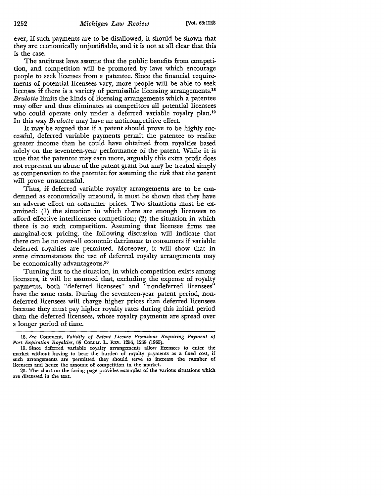ever, if such payments are to be disallowed, it should be shown that they are economically unjustifiable, and it is not at all clear that this is the case.

The antitrust laws assume that the public benefits from competition, and competition will be promoted by laws which encourage people to seek licenses from a patentee. Since the financial requirements of potential licensees vary, more people will be able to seek licenses if there is a variety of permissible licensing arrangements.18 *Brulotte* limits the kinds of licensing arrangements which a patentee may offer and thus eliminates as competitors all potential licensees who could operate only under a deferred variable royalty plan.<sup>19</sup> In this way *Brulotte* may have an anticompetitive effect.

It may be argued that if a patent should prove to be highly successful, deferred variable payments permit the patentee to realize greater income than he could have obtained from royalties based solely on the seventeen-year performance of the patent. While it is true that the patentee may earn more, arguably this extra profit does not represent an abuse of the patent grant but may be treated simply as compensation to the patentee for assuming the *risk* that the patent will prove unsuccessful.

Thus, if deferred variable royalty arrangements are to be condemned as economically unsound, it must be shown that they have an adverse effect on consumer prices. Two situations must be examined: (I) the situation in which there are enough licensees to afford effective interlicensee competition; (2) the situation in which there is no such competition. Assuming that licensee firms use marginal-cost pricing, the following discussion will indicate that there can be no over-all economic detriment to consumers if variable deferred royalties are permitted. Moreover, it will show that in some circumstances the use of deferred royalty arrangements may be economically advantageous.<sup>20</sup>

Turning first to the situation, in which competition exists among licensees, it will be assumed that, excluding the expense of royalty payments, both "deferred licensees" and "nondeferred licensees" have the same costs. During the seventeen-year patent period, nondeferred licensees will charge higher prices than deferred licensees because they must pay higher royalty rates during this initial period than the deferred licensees, whose royalty payments are spread over a longer period of time.

<sup>18.</sup> *See* Comment, *Validity of Patent License Provisions Requiring Payment of Post Expiration Royalties,* 65 CoLUM. L. REv. 1256, 1268 (1965).

<sup>19.</sup> Since deferred variable royalty arrangements allow licensees to enter the market without having to bear the burden of royalty payments as a fixed cost, if such arrangements are permitted they should serve to increase the number of licensees and hence the amount of competition in the market.

<sup>20.</sup> The chart on the facing page provides examples of the various situations which are discussed in the text.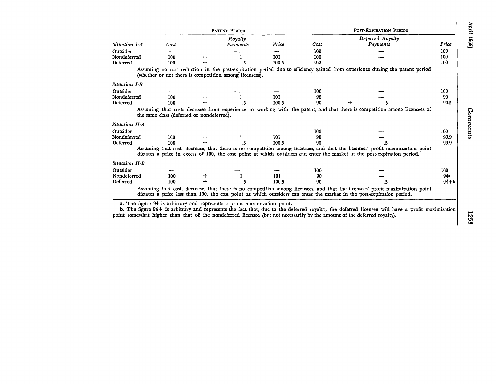|                |  |         |                                           | PATENT PERIOD                                                            |       | POST-EXPIRATION PERIOD |                                                                                                                                                                                                                                                           |          |
|----------------|--|---------|-------------------------------------------|--------------------------------------------------------------------------|-------|------------------------|-----------------------------------------------------------------------------------------------------------------------------------------------------------------------------------------------------------------------------------------------------------|----------|
|                |  | Royalty |                                           |                                                                          |       | Deferred Royalty       |                                                                                                                                                                                                                                                           |          |
| Situation I-A  |  | Cost    | Payments                                  |                                                                          | Price | Cost                   | Payments                                                                                                                                                                                                                                                  | Price    |
| Outsider       |  |         |                                           |                                                                          |       | 100                    |                                                                                                                                                                                                                                                           | 100      |
| Nondeferred    |  | 100     | +                                         |                                                                          | 101   | 100                    |                                                                                                                                                                                                                                                           | 100      |
| Deferred       |  | 100     |                                           |                                                                          | 100.5 | 100                    |                                                                                                                                                                                                                                                           | 100      |
|                |  |         |                                           | (whether or not there is competition among licensees).                   |       |                        | Assuming no cost reduction in the post-expiration period due to efficiency gained from experience during the patent period                                                                                                                                |          |
| Situation I-B  |  |         |                                           |                                                                          |       |                        |                                                                                                                                                                                                                                                           |          |
| Outsider       |  |         |                                           |                                                                          |       | 100                    |                                                                                                                                                                                                                                                           | 100      |
| Nondeferred    |  | 100     | ┿                                         |                                                                          | 101   | 90                     |                                                                                                                                                                                                                                                           | 90       |
| Deferred       |  | 100     |                                           |                                                                          | 100.5 | 90                     |                                                                                                                                                                                                                                                           | 90.5     |
| Situation II-A |  |         | the same class (deferred or nondeferred). |                                                                          |       |                        | Assuming that costs decrease from experience in working with the patent, and that there is competition among licensees of                                                                                                                                 |          |
| Outsider       |  |         |                                           |                                                                          |       | 100                    |                                                                                                                                                                                                                                                           | 100      |
| Nondeferred    |  | 100     |                                           |                                                                          | 101   | 90                     |                                                                                                                                                                                                                                                           | 99.9     |
| Deferred       |  | 100     |                                           |                                                                          | 100.5 | 90.                    |                                                                                                                                                                                                                                                           | 99.9     |
|                |  |         |                                           |                                                                          |       |                        | Assuming that costs decrease, that there is no competition among licensees, and that the licensees' profit maximization point<br>dictates a price in excess of 100, the cost point at which outsiders can enter the market in the post-expiration period. |          |
| Situation II-B |  |         |                                           |                                                                          |       |                        |                                                                                                                                                                                                                                                           |          |
| Outsider       |  |         |                                           |                                                                          |       | 100                    |                                                                                                                                                                                                                                                           | 100      |
| Nondeferred    |  | 100     | +                                         |                                                                          | 101   | 90                     |                                                                                                                                                                                                                                                           | 94a      |
| Deferred       |  | 100     |                                           |                                                                          | 100.5 | 90                     |                                                                                                                                                                                                                                                           | $94 + b$ |
|                |  |         |                                           | a. The figure 04 is arbitrary and represents a profit maximization point |       |                        | Assuming that costs decrease, that there is no competition among licensees, and that the licensees' profit maximization point<br>dictates a price less than 100, the cost point at which outsiders can enter the market in the post-expiration period.    |          |

a. The figure 94 *is* arbitrary and represents a profit maximization point.

b. The figure 94+ is arbitrary and represents the fact that, due to the deferred royalty, the deferred licensee will have a profit maximization point somewhat higher than that of the nondeferred licensee (but not necessarily by the amount of the deferred royalty).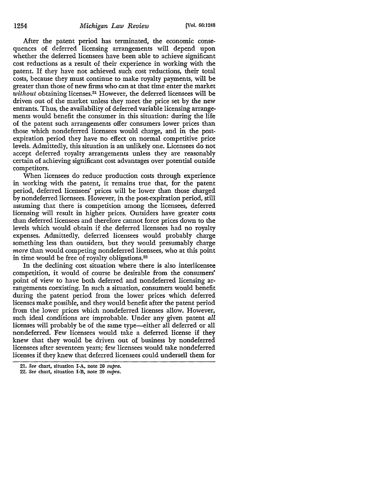After the patent period has terminated, the economic consequences of deferred licensing arrangements will depend upon whether the deferred licensees have been able to achieve significant cost reductions as a result of their experience in working with the patent. If they have not achieved such cost reductions, their total costs, because they must continue to make royalty payments, will be greater than those of new firms who can at that time enter the market *without* obtaining licenses.21 However, the deferred licensees will be driven out of the market unless they meet the price set by the new entrants. Thus, the availability of deferred variable licensing arrangements would benefit the consumer in this situation: during the life of the patent such arrangements offer consumers lower prices than those which nondeferred licensees would charge, and in the postexpiration period they have no effect on normal competitive price levels. Admittedly, this situation is an unlikely one. Licensees do not accept deferred royalty arrangements unless they are reasonably certain of achieving significant cost advantages over potential outside competitors.

When licensees do reduce production costs through experience in working with the patent, it remains true that, for the patent period, deferred licensees' prices will be lower than those charged by nondeferred licensees. However, in the post-expiration period, still assuming that there is competition among the licensees, deferred licensing will result in higher prices. Outsiders have greater costs than deferred licensees and therefore cannot force prices down to the levels which would obtain if the deferred licensees had no royalty expenses. Admittedly, deferred licensees would probably charge something less than outsiders, but they would presumably charge *more* than would competing nondeferred licensees, who at this point in time would be free of royalty obligations.22

In the declining cost situation where there is also interlicensee competition, it would of course be desirable from the consumers' point of view to have both deferred and nondeferred licensing arrangements coexisting. In such a situation, consumers would benefit during the patent period from the lower prices which deferred licenses make possible, and they would benefit after the patent period from the lower prices which nondeferred licenses allow. However, such ideal conditions are improbable. Under any given patent *all*  licenses will probably be of the same type-either all deferred or all nondeferred. Few licensees would take a deferred license if they knew that they would be driven out of business by nondeferred licensees after seventeen years; few licensees would take nondeferred licenses if they knew that deferred licensees could undersell them for

<sup>21.</sup> *See* chart, situation I-A, note 20 *supra.* 

<sup>22.</sup> *See* chart, situation I-B, note 20 *supra.*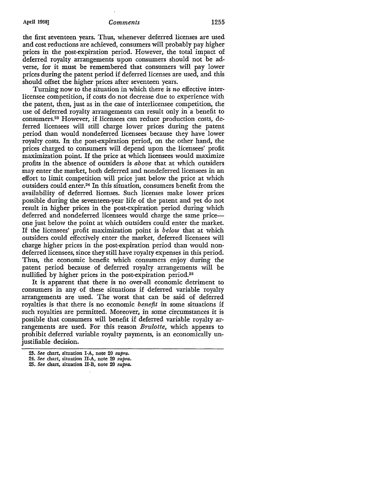# April 1968} *Comments* 1255

the first seventeen years. Thus, whenever deferred licenses are used and cost reductions are achieved, consumers will probably pay higher prices in the post-expiration period. However, the total impact of deferred royalty arrangements upon consumers should not be adverse, for it must be remembered that consumers will pay lower prices during the patent period if deferred licenses are used, and this should offset the higher prices after seventeen years.

Turning now to the situation in which there is *no* effective interlicensee competition, if costs do not decrease due to experience with the patent, then, just as in the case of interlicensee competition, the use of deferred royalty arrangements can result only in a benefit to consumers.23 However, if licensees can reduce production *costs,* deferred licensees will still charge lower prices during the patent period than would nondeferred licensees because they have lower royalty costs. In the post-expiration period, on the other hand, the prices charged to consumers will depend upon the licensees' profit maximization point. If the price at which licensees would maximize profits in the absence of outsiders is *above* that at which outsiders may enter the market, both deferred and nondeferred licensees in an effort to limit competition will price just below the price at which outsiders could enter.24 In this situation, consumers benefit from the availability of deferred licenses. Such licenses make lower prices possible during the seventeen-year life of the patent and yet do not result in higher prices in the post-expiration period during which deferred and nondeferred licensees would charge the same priceone just below the point at which outsiders could enter the market. If the licensees' profit maximization point is *below* that at which outsiders could effectively enter the market, deferred licensees will charge higher prices in the post-expiration period than would nondeferred licensees, since they still have royalty expenses in this period. Thus, the economic benefit which consumers enjoy during the patent period because of deferred royalty arrangements will be nullified by higher prices in the post-expiration period.25

It is apparent that there is no over-all economic detriment to consumers in any of these situations if deferred variable royalty arrangements are used. The worst that can be said of deferred royalties is that there is no economic *benefit* in some situations if such royalties are permitted. Moreover, in some circumstances it is possible that consumers will benefit if deferred variable royalty arrangements are used. For this reason *Brulotte,* which appears to prohibit deferred variable royalty payments, is an economically unjustifiable decision.

<sup>23.</sup> *See* chart, situation **I-A,** note 20 *supra.* 

<sup>24.</sup> *See* chart, situation II-A, note 20 *supra.* 

<sup>25.</sup> *See* chart, situation II-B, note 20 *supra.*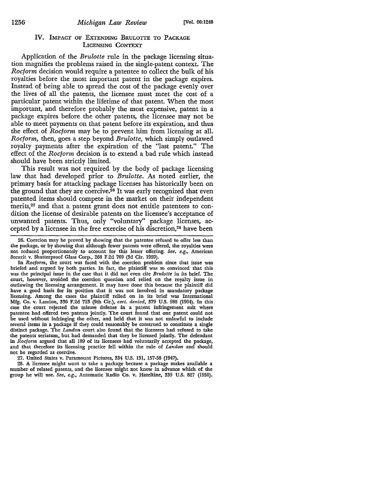# IV. IMPACT OF EXTENDING BRULOTTE TO PACKAGE LICENSING CONTEXT

Application of the *Brulotte* rule in the package licensing situation magnifies the problems raised in the single-patent context. The *Rocform* decision would require a patentee to collect the bulk of his royalties before the most important patent in the package expires. Instead of being able to spread the cost of the package evenly over the lives 0£ all the patents, the licensee must meet the cost of a particular patent within the lifetime of that patent. When the most important, and therefore probably the most expensive, patent in a package expires before the other patents, the licensee may not be able to meet payments on that patent before its expiration, and thus the effect of *Rocform* may be to prevent him from licensing at all. *Rocform,* then, goes a step beyond *Brulotte,* which simply outlawed royalty payments after the expiration of the "last patent." The effect of the *Roe/ orm* decision is to extend a bad rule which instead should have been strictly limited.

This result was not required by the body of package licensing law that had developed prior to *Brulotte.* As noted earlier, the primary basis for attacking package licenses has historically been on the ground that they are coercive.<sup>26</sup> It was early recognized that even patented items should compete in the market on their independent merits, $27$  and that a patent grant does not entitle patentees to condition the license of desirable patents on the licensee's acceptance of unwanted patents. Thus, only "voluntary" package licenses, accepted by a licensee in the free exercise of his discretion,28 have been

In *Rocform,* the court was faced with the coercion problem since that issue was briefed and argued by both parties. In fact, the plaintiff was so convinced that this was the principal issue in the case that it did not even cite *Brulotte* in its brief. The court, however, avoided the coercion question and relied on the royalty issue in outlawing the licensing arrangement. It may have done this because the plaintiff did have a good basis for its position that it was not involved in mandatory package licensing. Among the cases the plaintiff relied on in its brief was International Mfg. Co. v. Landon, 336 F.2d 723 (9th Cir.), *cert. denied,* 379 U.S. 988 (1964). In this case the court rejected the misuse defense in a patent infringement suit where patentee had offered two patents jointly. The court found that one patent could not be used without infringing the other, and held that it was not unlawful to include several items in a package if they could reasonably be construed to constitute a single distinct package. The *Landon* court also found that the licensees had refused to take the patents seriatum, but had demanded that they be licensed jointly. The defendant in *Rocform* argued that all 189 of its licensees had voluntarily accepted the package, and that therefore its licensing practice fell within the rule of *Landon* and should not be regarded as coercive.

27. United States v. Paramount Pictures, 334 U.S. 131, 157-58 (1947).

28. A licensee might want to take a package because a package makes available a number of related patents, and the licensee might not know in advance which of the group he will use. *See, e.g.,* Automatic Radio Co. v. Hazeltine, 339 U.S. 827 (1950).

<sup>26.</sup> Coercion may be proved by showing that the patentee refused to offer less than the package, or by showing that although fewer patents were offered, the royalties were not reduced proportionately to account for this lesser offering. *See, e.g.,* American Securit v. Shatterproof Glass Corp., 268 F.2d 769 (3d Cir. 1959).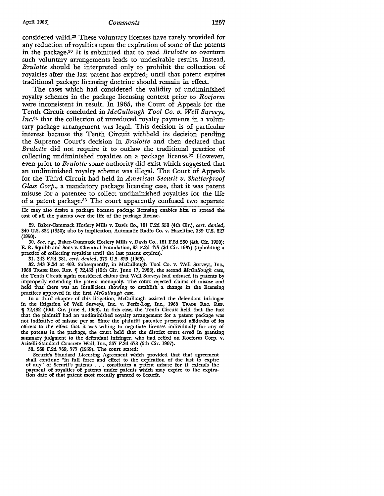#### April 1968] *Comments* 1257

considered valid.29 These voluntary licenses have rarely provided for any reduction of royalties upon the expiration of some of the patents in the package.30 It is submitted that to read *Brulotte* to overturn such voluntary arrangements leads to undesirable results. Instead, *Brulotte* should be interpreted only to prohibit the collection of royalties after the last patent has expired; until that patent expires traditional package licensing doctrine should remain in effect.

The cases which had considered the validity of undiminished royalty schemes in the package licensing context prior to *Rocform*  were inconsistent in result. In 1965, the Court of Appeals for the Tenth Circuit concluded in *McCullough Tool Co. v. Well Surveys*, *Inc.31* that the collection of unreduced royalty payments in a voluntary package arrangement was legal. This decision is of particular interest because the Tenth Circuit withheld its decision pending the Supreme Court's decision in *Brulotte* and then declared that *Brulotte* did not require it to outlaw the traditional practice of collecting undiminished royalties on a package license.32 However, even prior to *Brulotte* some authority did exist which suggested that an undiminished royalty scheme was illegal. The Court of Appeals for the Third Circuit had held in *American Securit v. Shatterproof Glass Corp.,* a mandatory package licensing case, that it was patent misuse for a patentee to collect undiminished royalties for the life of a patent package.33 The court apparently confused two separate

He may also desire a package because package licensing enables him to spread the cost of all the patents over the life of the package license.

29. Baker-Cammack Hosiery Mills v. Davis Co., 181 F.2d 550 (4th Cir.), *cert. denied,*  340 U.S. 824 (1950); also by implication, Automatic Radio Co. v. Hazeltine, 339 U.S. 827 (1950).

30. *See, e.g.,* Baker-Cammack Hosiery Mills v. Davis Co., 181 F.2d 550 (4th Cir. 1950); E. R. Squibb and Sons v. Chemical Foundation, 93 F.2d 475 (2d Cir. 1937) (upholding a practice of collecting royalties until the last patent expires).

31. 343 F.2d 381, *cert. denied,* 379 U.S. 826 (1965).

32. 343 F.2d at 409. Subsequently, in McCullough Tool Co. v. Well Surveys, Inc., 1968 TRADE REG. REP.  $\P$  72,453 (10th Cir. June 17, 1968), the second *McCullough* case, the Tenth Circuit again considered claims that Well Surveys had misused its patents by improperly extending the patent monopoly. The court rejected claims of misuse and held that there was an insufficient showing to establish a change in the licensing practices approved in the first *McCullough* case.

In a third chapter of this litigation, McCullough assisted the defendant infringer in the litigation of Well Surveys, Inc. v. Perfo-Log, Inc., 1968 TRADE REG. REP.  $\frac{1}{2}$  72,482 (10th Cir. June 4, 1968). In this case, the Tenth Circuit held that the fact that the plaintiff had an undiminished royalty arrangement for a patent package was not indicative of misuse per se. Since the plaintiff patentee presented affidavits of its officers to the effect that it was willing to negotiate licenses individually for any of the patents in the package, the court held that the district court erred in granting summary judgment to the defendant infringer, who had relied on Rocform Corp. v. Acitelli•Standard Concrete Wall, Inc., 367 F.2d 678 (6th Cir. 1967).

**33.** 268 F.2d 769, 777 (1959). The court stated:

Securit's Standard Licensing Agreement which provided that that agreement shall continue "in full force and effect to the expiration of the last to expire shall continue "in full force and effect to the expiration of the last to expire<br>of any" of Securit's patents . . . constitutes a patent misuse for it extends the<br>payment of royalties of patents under patents which may exp tion date of that patent most recently granted to Securit.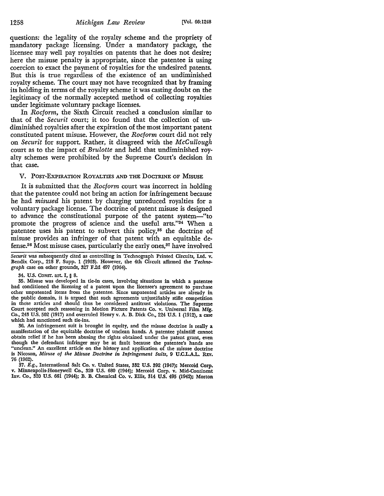questions: the legality of the royalty scheme and the propriety of mandatory package licensing. Under a mandatory package, the licensee may well pay royalties on patents that he does not desire; here the misuse penalty is appropriate, since the patentee is using coercion to exact the payment of royalties for the undesired patents. But this is true regardless of the existence of an undiminished royalty scheme. The court may not have recognized that by framing its holding in terms of the royalty scheme it was casting doubt on the legitimacy of the normally accepted method of collecting royalties under legitimate voluntary package licenses.

In *Rocform,* the Sixth Circuit reached a conclusion similar to that of the *Securit* court; it too found that the collection of undiminished royalties after the expiration of the most important patent constituted patent misuse. However, the *Rocform* court did not rely on *Securit* for support. Rather, it disagreed with the *McCullough*  court as to the impact of *Brulotte* and held that undiminished royalty schemes were prohibited by the Supreme Court's decision in that case.

V. POST-EXPIRATION ROYALTIES AND THE DOCTRINE OF MISUSE

It is submitted that the *Rocform* court was incorrect in holding that the patentee could not bring an action for infringement because he had *misused* his patent by charging unreduced royalties for a voluntary package license. The doctrine of patent misuse is designed to advance the constitutional purpose of the patent system-"to promote the progress of science and the useful arts."34 When a patentee uses his patent to subvert this policy,<sup>35</sup> the doctrine of misuse provides an infringer of that patent with an equitable defense.36 Most misuse cases, particularly the early ones,37 have involved

*Securit* was subsequently cited as controlling in Technograph Printed Circuits, Ltd. v. Bendix Corp., 218 F. Supp. l (1963). However, the 4th Circuit affirmed the *Techno•*  graph case on other grounds, 327 F.2d 497 (1964).

34. U.S. CONST. art. I,§ 8.

35. Misuse was developed in tie-in cases, involving situations in which a patentee had conditioned the licensing of a patent upon the licensee's agreement to purchase other unpatented items from the patentee. Since unpatented articles are already in the public domain, it is argued that such agreements unjustifiably stifle competition in those articles and should thus be considered antitrust violations. The Supreme Court accepted such reasoning in Motion Picture Patents Co. v. Universal Film Mfg. Co., 243 U.S. 502 (1917) and overruled Henry v. A. B. Dick Co., 224 U.S. l (1912), a case which had sanctioned such tie-ins.

36\_. An infringement suit is brought in equity, and the misuse doctrine is really a manifestation of the equitable doctrine of unclean hands. A patentee plaintiff cannot obtain relief if he has been abusing the rights obtained under the patent grant, even though the defendant infringer may be at fault because the patentee's hands are "unclean." An excellent article on the history and application of the misuse doctrine is Nicoson, *Misuse of the Misuse Doctrine in Infringement Suits,* 9 U.C.L.A.L. REv. 76 (1962).

37. E.g., International Salt Co. v. United States, 332 U.S. 392 (1947); Mercoid Corp. v. Minneapolis-Honeywell Co., 320 U.S. 680 (1944); Mercoid Corp. v. Mid-Continent Inv. Co., 320 U.S. 661 (1944); B. B. Chemical Co. v. Ellis, 314 U.S. 495 (1942); Morton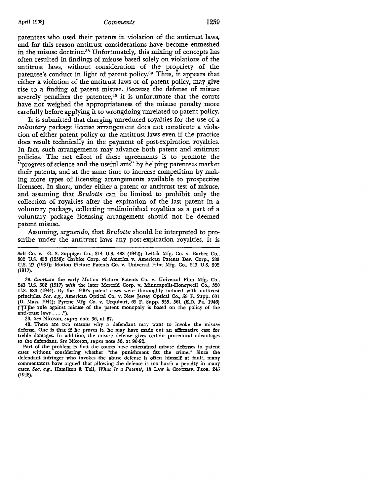# April 1968) *Comments* 1259

patentees who used their patents in violation of the antitrust laws, and for this reason antitrust considerations have become enmeshed in the misuse doctrine.38 Unfortunately, this mixing of concepts has often resulted in findings of misuse based solely on violations of the antitrust laws, without consideration of the propriety of the patentee's conduct in light of patent policy.39 Thus, it appears that either a violation of the antitrust laws or of patent policy, may give rise to a finding of patent misuse. Because the defense of misuse severely penalizes the patentee, $40$  it is unfortunate that the courts have not weighed the appropriateness of the misuse penalty more carefully before applying it to wrongdoing unrelated to patent policy.

It is submitted that charging unreduced royalties for the use of a *voluntary* package license arrangement does not constitute a violation of either patent policy or the antitrust laws even if the practice does result technically in the payment of post-expiration royalties. In fact, such arrangements may advance both patent and antitrust policies. The net effect of these agreements is to promote the "progress of science and the useful arts" by helping patentees market their patents, and at the same time to increase competition by making more types of licensing arrangements available to prospective licensees. In short, under either a patent or antitrust test of misuse, and assuming that *Brulotte* can be limited to prohibit only the collection of royalties after the expiration of the last patent in a voluntary package, collecting undiminished royalties as a part of a voluntary package licensing arrangement should not be deemed patent misuse.

Assuming, *arguendo,* that *Brulotte* should be interpreted to proscribe under the antitrust laws any post-expiration royalties, it is

Salt Co. v. G. S. Suppiger Co., 314 U.S. 488 (1942); Leitch Mfg. Co. v. Barber Co., 302 U.S. 458 (1938); Carbice Corp. of America v. American Patents Dev. Corp., 283 U.S. 27 (1931); Motion Picture Patents Co. v. Universal Film Mfg. Co., 243 U.S. 502 (1917).

38. *Compare* the early Motion Picture Patents Co. v. Universal Film Mfg. Co., 243 U.S. 502 (1917) *with* the later Mercoid Corp. v. Minneapolis-Honeywell Co., 320 U.S. 680 (1944). By the 1940's patent cases were thoroughly imbued with antitrust principles. *See, e.g.,* American Optical Co. v. New Jersey Optical Co., 58 F. Supp. 601 (D. Mass. 1944); Pyrene Mfg. Co. v. Urquhart, 69 F. Supp. 555, 561 (E.D. Pa. 1946) ("[T]he rule against misuse of the patent monopoly is based on the policy of the anti-trust laws . . . .").

39. *See* Nicoson, *supra* note 36, at 87.

40. There are two reasons why a defendant may want to invoke the misuse defense. One is that if he proves it, he may have made out an affirmative case for treble damages. In addition, the misuse defense gives certain procedural advantages to the defendant. *See* Nicoson, *supra* note 36, at 90-92.

Part of the problem is that the courts have entertained misuse defenses in patent cases without considering whether "the punishment fits the crime.'' Since the defendant infringer who invokes the abuse defense is often himself at fault, many commentators have argued that allowing the defense is too harsh a penalty in many cases. See, e.g., Hamilton & Tell, *What Is a Patent?*, 13 LAW & CONTEMP. PROB. 245 (1948).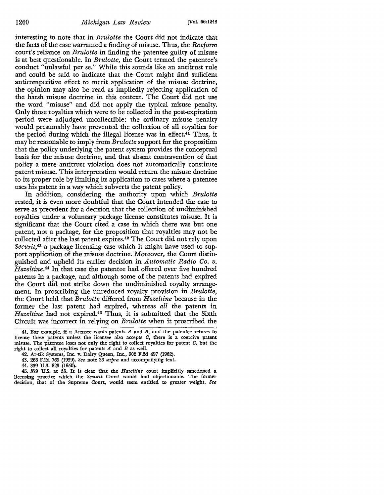interesting to note that in *Brulotte* the Court did not indicate that the facts of the case warranted a finding of misuse. Thus, the *Rocform* court's reliance on *Brulotte* in finding the patentee guilty of misuse is at best questionable. In *Brulotte,* the Court termed the patentee's conduct "unlawful per se." While this sounds like an antitrust rule and could be said to indicate that the Court might find sufficient anticompetitive effect to merit application of the misuse doctrine, the opinion may also be read as impliedly rejecting application of the harsh misuse doctrine in this context. The Court did not use the word "misuse" and did not apply the typical misuse penalty. Only those royalties which were to be collected in the post-expiration period were adjudged uncollectible; the ordinary misuse penalty would presumably have prevented the collection of all royalties for the period during which the illegal license was in effect.41 Thus, it may be reasonable to imply from *Brulotte* support for the proposition that the policy underlying the patent system provides the conceptual basis for the misuse doctrine, and that absent contravention of that policy a mere antitrust violation does not automatically constitute patent misuse. This interpretation would return the misuse doctrine to its proper role by limiting its application to cases where a patentee uses his patent in a way which subverts the patent policy.

In addition, considering the authority upon which *Brulotte*  rested, it is even more doubtful that the Court intended the case to serve as precedent for a decision that the collection of undiminished royalties under a voluntary package license constitutes misuse. It is significant that the Court cited a case in which there was but one patent, not a package, for the proposition that royalties may not be collected after the last patent expires.42 The Court did not rely upon *Securit,43* a package licensing case which it might have used to support application of the misuse doctrine. Moreover, the Court distinguished and upheld its earlier decision in *Automatic Radio Co. v. Hazeltine.44* In that case the patentee had offered over five hundred patents in a package, and although some of the patents had expired the Court did not strike down the undiminished royalty arrangement. In proscribing the unreduced royalty provision in *Brulotte,*  the Court held that *Brulotte* differed from *Hazeltine* because in the former the last patent had expired, whereas *all* the patents in *Hazeltine* had not expired.45 Thus, it is submitted that the Sixth Circuit was incorrect in relying on *Brulotte* when it proscribed the

44. 339 U.S. 829 (1950).

45. 379 U.S. at 33. It is clear that the *Hazeltine* court implicitly sanctioned a licensing practice which the *Securit* Court would find objectionable. The former decision, that of the Supreme Court, would seem entitled to greater weight. *See* 

<sup>41.</sup> For example, if a licensee wants patents  $A$  and  $B$ , and the patentee refuses to license these patents unless the licensee also accepts C, there is a coercive patent misuse. The patentee loses not only the right to collect royalties for patent C, but the right to collect all royalties for patents *A* and *B* as well.

<sup>42.</sup> Ar-tik Systems, Inc. v. Dairy Queen, Inc., 302 F.2d 497 (1962).

<sup>43. 268</sup> F.2d 769 (1959). *See* note 33 *supra* and accompanying text.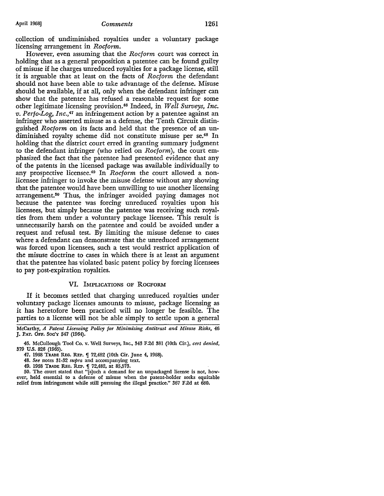collection of undiminished royalties under a voluntary package licensing arrangement in *Rocform*.

However, even assuming that the *Rocform* court was correct in holding that as a general proposition a patentee can be found guilty of misuse if he charges unreduced royalties for a package license, still it is arguable that at least on the £acts of *Rocform* the defendant should not have been able to take advantage of the defense. Misuse should be available, if at all, only when the defendant infringer can show that the patentee has refused a reasonable request for some other legitimate licensing provision.46 Indeed, in *Well Surveys, Inc. v. Perfo-Log, Inc.,47* an infringement action by a patentee against an infringer who asserted misuse as a defense, the Tenth Circuit distinguished *Rocform* on its £acts and held that the presence of an undiminished royalty scheme did not constitute misuse per se.48 In holding that the district court erred in granting summary judgment to the defendant infringer (who relied on *Rocform),* the court emphasized the fact that the patentee had presented evidence that any of the patents in the licensed package was available individually to any prospective licensee.49 In *Rocform* the court allowed a nonlicensee infringer to invoke the misuse defense without any showing that the patentee would have been unwilling to use another licensing arrangement.<sup>50</sup> Thus, the infringer avoided paying damages not because the patentee was forcing unreduced royalties upon his licensees, but simply because the patentee was receiving such royalties from them under a voluntary package licensee. This result is unnecessarily harsh on the patentee and could be avoided under a request and refusal test. By limiting the misuse defense to cases where a defendant can demonstrate that the unreduced arrangement was forced upon licensees, such a test would restrict application of the misuse doctrine to cases in which there is at least an argument that the patentee has violated basic patent policy by forcing licensees to pay post-expiration royalties.

#### VI. IMPLICATIONS OF RocFORM

If it becomes settled that charging unreduced royalties under voluntary package licenses amounts to misuse, package licensing as it has heretofore been practiced will no longer be feasible. The parties to a license will not be able simply to settle upon a general

McCarthy, *A Patent Licensing Policy for Minimizing Antitrust and Misuse Risks,* 46 J. PAT. OFF. Soc'y 547 (1964).

<sup>46.</sup> McCullough Tool Co. v. Well Surveys, Inc., 343 F.2d 381 (10th Cir.), *cert denied,*  379 U.S. 826 (1965).

<sup>47. 1968</sup> TRADE REG. REP. 1 72,482 (10th Cir. June 4, 1968).

<sup>48.</sup> *See* notes 31-32 *supra* and accompanying text.

<sup>49. 1968</sup> TRADE REG. REP. **[** 72,482, at 85,573.

<sup>50.</sup> The court stated that "[s]uch a demand for an unpackaged license is not, however, held essential to a defense of misuse when the patent-holder seeks equitable relief from infringement while still pursuing the illegal practice." 367 F.2d at 680.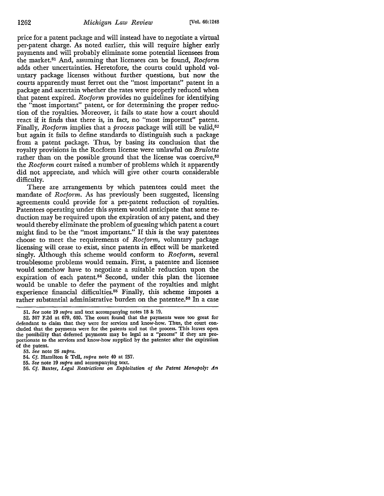price for a patent package and will instead have to negotiate a virtual per-patent charge. As noted earlier, this will require higher early payments and will probably eliminate some potential licensees from the market.51 And, assuming that licensees can be found, *Rocform*  adds other uncertainties. Heretofore, the courts could uphold voluntary package licenses without further questions, but now the courts apparently must ferret out the "most important" patent in a package and ascertain whether the rates were properly reduced when that patent expired. *Rocform* provides no guidelines for identifying the "most important" patent, or for determining the proper reduction of the royalties. Moreover, it fails to state how a court should react if it finds that there is, in fact, no "most important" patent. Finally, *Rocform* implies that a *process* package will still be valid,<sup>52</sup> but again it fails to define standards to distinguish such a package from a patent package. Thus, by basing its conclusion that the royalty provisions in the Rocform license were unlawful on *Brulotte*  rather than on the possible ground that the license was coercive,<sup>53</sup> the *Rocform* court raised a number of problems which it apparently did not appreciate, and which will give other courts considerable difficulty.

There are arrangements by which patentees could meet the mandate of *Rocform*. As has previously been suggested, licensing agreements could provide for a per-patent reduction of royalties. Patentees operating under this system would anticipate that some reduction may be required upon the expiration of any patent, and they would thereby eliminate the problem of guessing which patent a court might find to be the "most important." If this is the way patentees choose to meet the requirements of *Rocform,* voluntary package licensing will cease to exist, since patents in effect will be marketed singly. Although this scheme would conform to *Rocform,* several troublesome problems would remain. First, a patentee and licensee would somehow have to negotiate a suitable reduction upon the expiration of each patent.54 Second, under this plan the licensee would be unable to defer the payment of the royalties and might experience financial difficulties.<sup>55</sup> Finally, this scheme imposes a rather substantial administrative burden on the patentee.<sup>56</sup> In a case

<sup>51.</sup> See note 19 *supra* and text accompanying notes 18 & 19.

<sup>52. 367</sup> F.2d at 679, 680. The court found that the payments were too great for defendant to claim that they were for services and know-how. Thus, the court concluded that the payments were for the patents and not the process. This leaves open the possibility that deferred payments may be legal as a "process" if they are pro• portionate to the services and know-how supplied by the patentee after the expiration of the patent.

<sup>53.</sup> *See* note 26 *supra.* 

<sup>54.</sup> *Cf.* Hamilton&:: Tell, *supra* note 40 at 257.

<sup>55.</sup> *See* note 19 *supra* and accompanying text.

<sup>56.</sup> *Cf.* Baxter, *Legal Restrictions on Exploitation of the Patent Monopoly: .A.n*